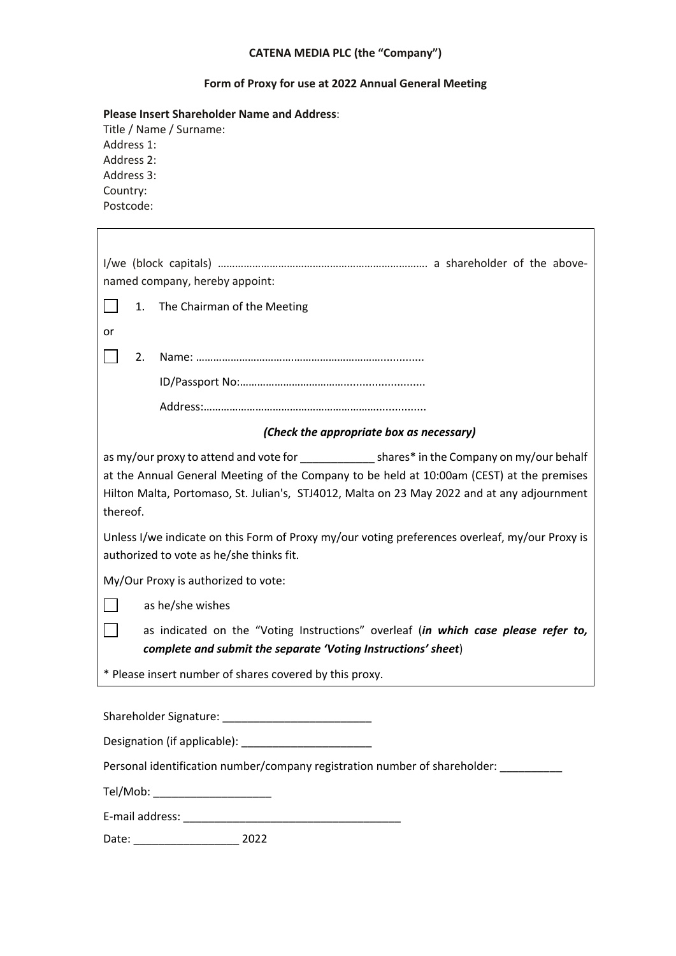# **CATENA MEDIA PLC (the "Company")**

## **Form of Proxy for use at 2022 Annual General Meeting**

### **Please Insert Shareholder Name and Address**:

| Title / Name / Surname: |
|-------------------------|
| Address 1:              |
| Address 2:              |
| Address 3:              |
| Country:                |
| Postcode:               |

| named company, hereby appoint:                                                                                                             |  |  |  |  |  |  |  |
|--------------------------------------------------------------------------------------------------------------------------------------------|--|--|--|--|--|--|--|
| The Chairman of the Meeting<br>1.                                                                                                          |  |  |  |  |  |  |  |
| or                                                                                                                                         |  |  |  |  |  |  |  |
| 2.                                                                                                                                         |  |  |  |  |  |  |  |
|                                                                                                                                            |  |  |  |  |  |  |  |
|                                                                                                                                            |  |  |  |  |  |  |  |
| (Check the appropriate box as necessary)                                                                                                   |  |  |  |  |  |  |  |
| as my/our proxy to attend and vote for ________________ shares* in the Company on my/our behalf                                            |  |  |  |  |  |  |  |
| at the Annual General Meeting of the Company to be held at 10:00am (CEST) at the premises                                                  |  |  |  |  |  |  |  |
| Hilton Malta, Portomaso, St. Julian's, STJ4012, Malta on 23 May 2022 and at any adjournment                                                |  |  |  |  |  |  |  |
| thereof.                                                                                                                                   |  |  |  |  |  |  |  |
| Unless I/we indicate on this Form of Proxy my/our voting preferences overleaf, my/our Proxy is<br>authorized to vote as he/she thinks fit. |  |  |  |  |  |  |  |
| My/Our Proxy is authorized to vote:                                                                                                        |  |  |  |  |  |  |  |
| as he/she wishes                                                                                                                           |  |  |  |  |  |  |  |
| as indicated on the "Voting Instructions" overleaf (in which case please refer to,                                                         |  |  |  |  |  |  |  |
| complete and submit the separate 'Voting Instructions' sheet)                                                                              |  |  |  |  |  |  |  |
| * Please insert number of shares covered by this proxy.                                                                                    |  |  |  |  |  |  |  |
|                                                                                                                                            |  |  |  |  |  |  |  |
| Shareholder Signature: Management Controller Shareholder Signature:                                                                        |  |  |  |  |  |  |  |
|                                                                                                                                            |  |  |  |  |  |  |  |
| Personal identification number/company registration number of shareholder: _______                                                         |  |  |  |  |  |  |  |
| Tel/Mob: will be a series of the series of the series of the series of the series of the series of the series                              |  |  |  |  |  |  |  |
| E-mail address:                                                                                                                            |  |  |  |  |  |  |  |

Date: \_\_\_\_\_\_\_\_\_\_\_\_\_\_\_\_\_ 2022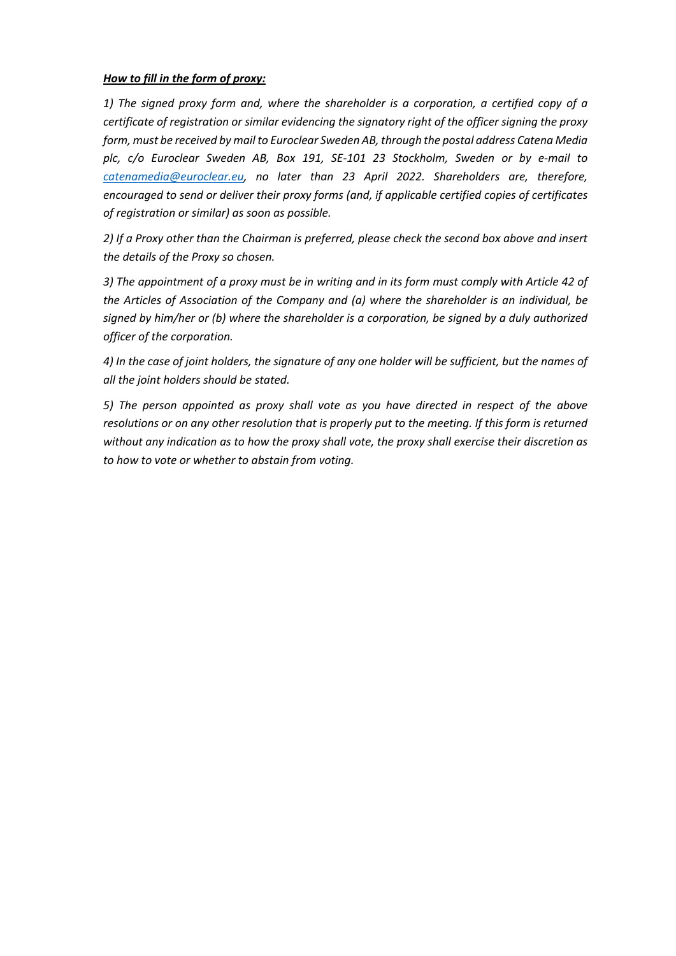#### *How to fill in the form of proxy:*

*1) The signed proxy form and, where the shareholder is a corporation, a certified copy of a certificate of registration or similar evidencing the signatory right of the officer signing the proxy form, must be received by mail to Euroclear Sweden AB, through the postal address Catena Media plc, c/o Euroclear Sweden AB, Box 191, SE-101 23 Stockholm, Sweden or by e-mail to catenamedia@euroclear.eu, no later than 23 April 2022. Shareholders are, therefore, encouraged to send or deliver their proxy forms (and, if applicable certified copies of certificates of registration or similar) as soon as possible.*

*2) If a Proxy other than the Chairman is preferred, please check the second box above and insert the details of the Proxy so chosen.*

*3) The appointment of a proxy must be in writing and in its form must comply with Article 42 of the Articles of Association of the Company and (a) where the shareholder is an individual, be signed by him/her or (b) where the shareholder is a corporation, be signed by a duly authorized officer of the corporation.* 

*4) In the case of joint holders, the signature of any one holder will be sufficient, but the names of all the joint holders should be stated.*

*5) The person appointed as proxy shall vote as you have directed in respect of the above resolutions or on any other resolution that is properly put to the meeting. If this form is returned without any indication as to how the proxy shall vote, the proxy shall exercise their discretion as to how to vote or whether to abstain from voting.*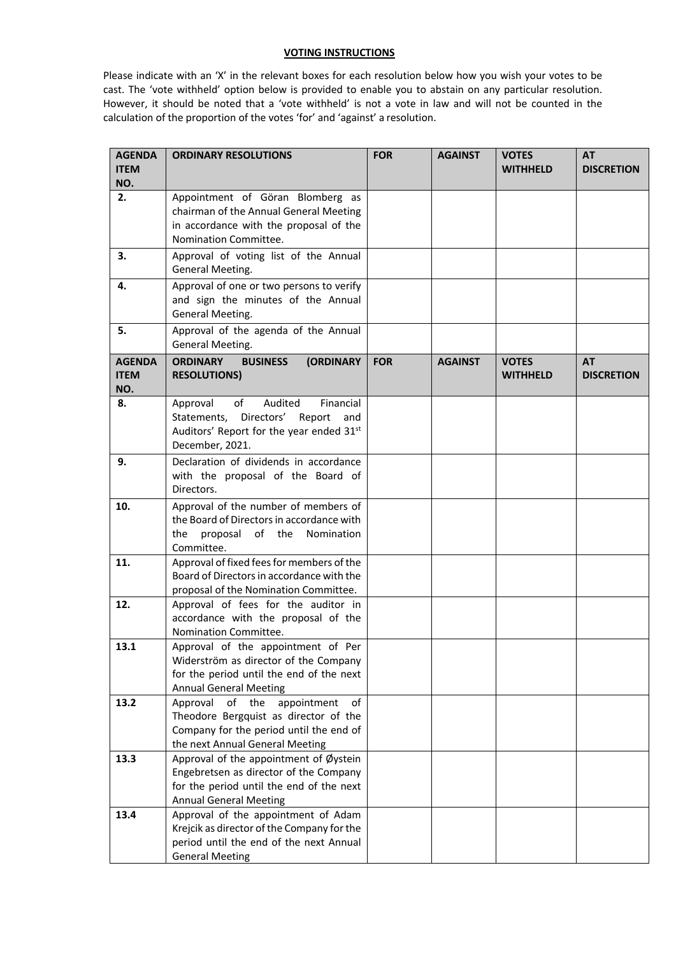#### **VOTING INSTRUCTIONS**

Please indicate with an 'X' in the relevant boxes for each resolution below how you wish your votes to be cast. The 'vote withheld' option below is provided to enable you to abstain on any particular resolution. However, it should be noted that a 'vote withheld' is not a vote in law and will not be counted in the calculation of the proportion of the votes 'for' and 'against' a resolution.

| <b>AGENDA</b><br><b>ITEM</b>        | <b>ORDINARY RESOLUTIONS</b>                                                                                                                                    | <b>FOR</b> | <b>AGAINST</b> | <b>VOTES</b><br><b>WITHHELD</b> | <b>AT</b><br><b>DISCRETION</b> |
|-------------------------------------|----------------------------------------------------------------------------------------------------------------------------------------------------------------|------------|----------------|---------------------------------|--------------------------------|
| NO.                                 |                                                                                                                                                                |            |                |                                 |                                |
| 2.                                  | Appointment of Göran Blomberg as<br>chairman of the Annual General Meeting<br>in accordance with the proposal of the<br>Nomination Committee.                  |            |                |                                 |                                |
| 3.                                  | Approval of voting list of the Annual<br>General Meeting.                                                                                                      |            |                |                                 |                                |
| 4.                                  | Approval of one or two persons to verify<br>and sign the minutes of the Annual<br>General Meeting.                                                             |            |                |                                 |                                |
| 5.                                  | Approval of the agenda of the Annual<br>General Meeting.                                                                                                       |            |                |                                 |                                |
| <b>AGENDA</b><br><b>ITEM</b><br>NO. | <b>ORDINARY</b><br><b>BUSINESS</b><br><b>(ORDINARY</b><br><b>RESOLUTIONS)</b>                                                                                  | <b>FOR</b> | <b>AGAINST</b> | <b>VOTES</b><br><b>WITHHELD</b> | <b>AT</b><br><b>DISCRETION</b> |
| 8.                                  | Audited<br>Financial<br>Approval<br>of<br>Statements, Directors' Report and<br>Auditors' Report for the year ended 31st<br>December, 2021.                     |            |                |                                 |                                |
| 9.                                  | Declaration of dividends in accordance<br>with the proposal of the Board of<br>Directors.                                                                      |            |                |                                 |                                |
| 10.                                 | Approval of the number of members of<br>the Board of Directors in accordance with<br>proposal<br>of the<br>Nomination<br>the<br>Committee.                     |            |                |                                 |                                |
| 11.                                 | Approval of fixed fees for members of the<br>Board of Directors in accordance with the<br>proposal of the Nomination Committee.                                |            |                |                                 |                                |
| 12.                                 | Approval of fees for the auditor in<br>accordance with the proposal of the<br>Nomination Committee.                                                            |            |                |                                 |                                |
| 13.1                                | Approval of the appointment of Per<br>Widerström as director of the Company<br>for the period until the end of the next<br><b>Annual General Meeting</b>       |            |                |                                 |                                |
| 13.2                                | of the<br>Approval<br>appointment<br>of<br>Theodore Bergquist as director of the<br>Company for the period until the end of<br>the next Annual General Meeting |            |                |                                 |                                |
| 13.3                                | Approval of the appointment of Øystein<br>Engebretsen as director of the Company<br>for the period until the end of the next<br><b>Annual General Meeting</b>  |            |                |                                 |                                |
| 13.4                                | Approval of the appointment of Adam<br>Krejcik as director of the Company for the<br>period until the end of the next Annual<br><b>General Meeting</b>         |            |                |                                 |                                |